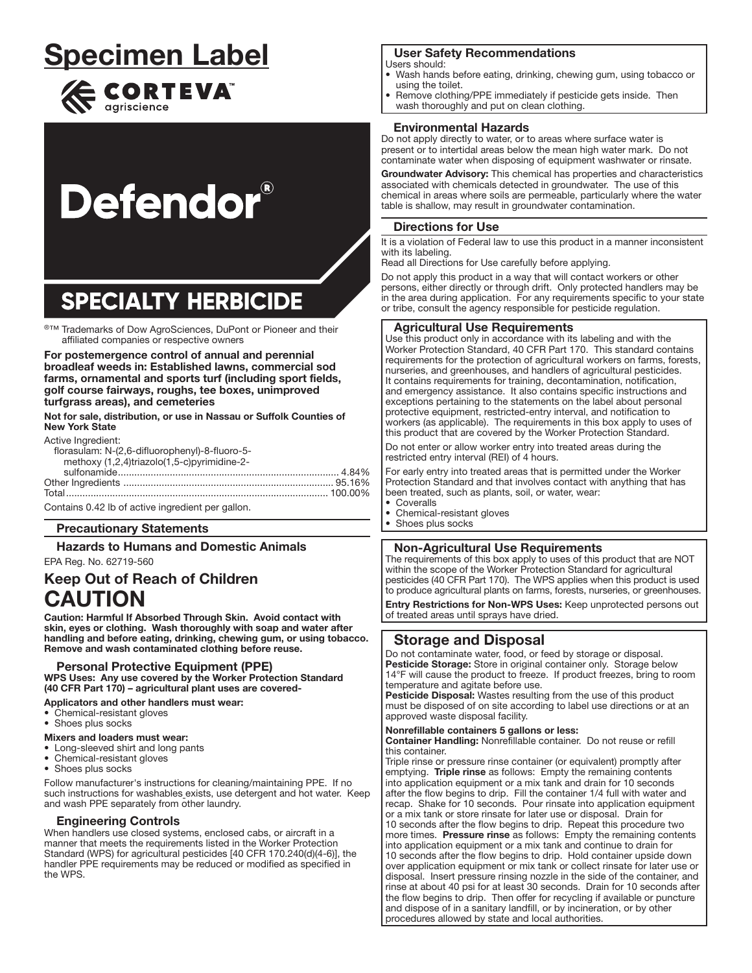## **Specimen Label**



# **Defendor**®

## **SPECIALTY HERBICIDE**

®™ Trademarks of Dow AgroSciences, DuPont or Pioneer and their affiliated companies or respective owners

For postemergence control of annual and perennial broadleaf weeds in: Established lawns, commercial sod farms, ornamental and sports turf (including sport fields, golf course fairways, roughs, tee boxes, unimproved turfgrass areas), and cemeteries

Not for sale, distribution, or use in Nassau or Suffolk Counties of **New York State** 

#### Active Ingredient

| AGUVG INGHOUGHL.                               |  |
|------------------------------------------------|--|
| florasulam: N-(2,6-difluorophenyl)-8-fluoro-5- |  |
| methoxy (1,2,4)triazolo(1,5-c)pyrimidine-2-    |  |
|                                                |  |
|                                                |  |
|                                                |  |
|                                                |  |

Contains 0.42 lb of active ingredient per gallon.

#### **Precautionary Statements**

**Hazards to Humans and Domestic Animals** 

#### EPA Reg. No. 62719-560 **Keep Out of Reach of Children CAUTION**

Caution: Harmful If Absorbed Through Skin. Avoid contact with skin, eyes or clothing. Wash thoroughly with soap and water after handling and before eating, drinking, chewing gum, or using tobacco. Remove and wash contaminated clothing before reuse.

#### **Personal Protective Equipment (PPE)**

WPS Uses: Any use covered by the Worker Protection Standard (40 CFR Part 170) - agricultural plant uses are covered-

#### Applicators and other handlers must wear:

- Chemical-resistant gloves
- Shoes plus socks

#### Mixers and loaders must wear:

- Long-sleeved shirt and long pants
- Chemical-resistant gloves
- Shoes plus socks

Follow manufacturer's instructions for cleaning/maintaining PPE. If no such instructions for washables\_exists, use detergent and hot water. Keep and wash PPE separately from other laundry.

#### **Engineering Controls**

When handlers use closed systems, enclosed cabs, or aircraft in a manner that meets the requirements listed in the Worker Protection Standard (WPS) for agricultural pesticides [40 CFR 170.240(d)(4-6)], the handler PPE requirements may be reduced or modified as specified in the WPS.

### **User Safety Recommendations**

- Users should:
- Wash hands before eating, drinking, chewing gum, using tobacco or using the toilet.
- Remove clothing/PPE immediately if pesticide gets inside. Then
- wash thoroughly and put on clean clothing.

#### **Environmental Hazards**

Do not apply directly to water, or to areas where surface water is present or to intertidal areas below the mean high water mark. Do not contaminate water when disposing of equipment washwater or rinsate.

Groundwater Advisory: This chemical has properties and characteristics associated with chemicals detected in groundwater. The use of this chemical in areas where soils are permeable, particularly where the water table is shallow, may result in groundwater contamination.

#### **Directions for Use**

It is a violation of Federal law to use this product in a manner inconsistent with its labeling.

Read all Directions for Use carefully before applying.

Do not apply this product in a way that will contact workers or other persons, either directly or through drift. Only protected handlers may be in the area during application. For any requirements specific to your state or tribe, consult the agency responsible for pesticide regulation.

#### **Aaricultural Use Requirements**

Use this product only in accordance with its labeling and with the Worker Protection Standard, 40 CFR Part 170. This standard contains requirements for the protection of agricultural workers on farms, forests, nurseries, and greenhouses, and handlers of agricultural pesticides. It contains requirements for training, decontamination, notification, and emergency assistance. It also contains specific instructions and exceptions pertaining to the statements on the label about personal protective equipment, restricted-entry interval, and notification to workers (as applicable). The requirements in this box apply to uses of this product that are covered by the Worker Protection Standard.

Do not enter or allow worker entry into treated areas during the restricted entry interval (REI) of 4 hours.

For early entry into treated areas that is permitted under the Worker Protection Standard and that involves contact with anything that has been treated, such as plants, soil, or water, wear:

- Coveralls
- Chemical-resistant gloves
- $\bullet$ Shoes plus socks

#### **Non-Agricultural Use Requirements**

The requirements of this box apply to uses of this product that are NOT within the scope of the Worker Protection Standard for agricultural pesticides (40 CFR Part 170). The WPS applies when this product is used to produce agricultural plants on farms, forests, nurseries, or greenhouses.

Entry Restrictions for Non-WPS Uses: Keep unprotected persons out of treated areas until sprays have dried.

#### **Storage and Disposal**

Do not contaminate water, food, or feed by storage or disposal. Pesticide Storage: Store in original container only. Storage below 14°F will cause the product to freeze. If product freezes, bring to room temperature and agitate before use.

Pesticide Disposal: Wastes resulting from the use of this product must be disposed of on site according to label use directions or at an approved waste disposal facility.

#### Nonrefillable containers 5 gallons or less:

Container Handling: Nonrefillable container. Do not reuse or refill this container.

Triple rinse or pressure rinse container (or equivalent) promptly after emptying. Triple rinse as follows: Empty the remaining contents into application equipment or a mix tank and drain for 10 seconds after the flow begins to drip. Fill the container 1/4 full with water and recap. Shake for 10 seconds. Pour rinsate into application equipment or a mix tank or store rinsate for later use or disposal. Drain for 10 seconds after the flow begins to drip. Repeat this procedure two more times. Pressure rinse as follows: Empty the remaining contents into application equipment or a mix tank and continue to drain for 10 seconds after the flow begins to drip. Hold container upside down over application equipment or mix tank or collect rinsate for later use or disposal. Insert pressure rinsing nozzle in the side of the container, and rinse at about 40 psi for at least 30 seconds. Drain for 10 seconds after the flow begins to drip. Then offer for recycling if available or puncture and dispose of in a sanitary landfill, or by incineration, or by other procedures allowed by state and local authorities.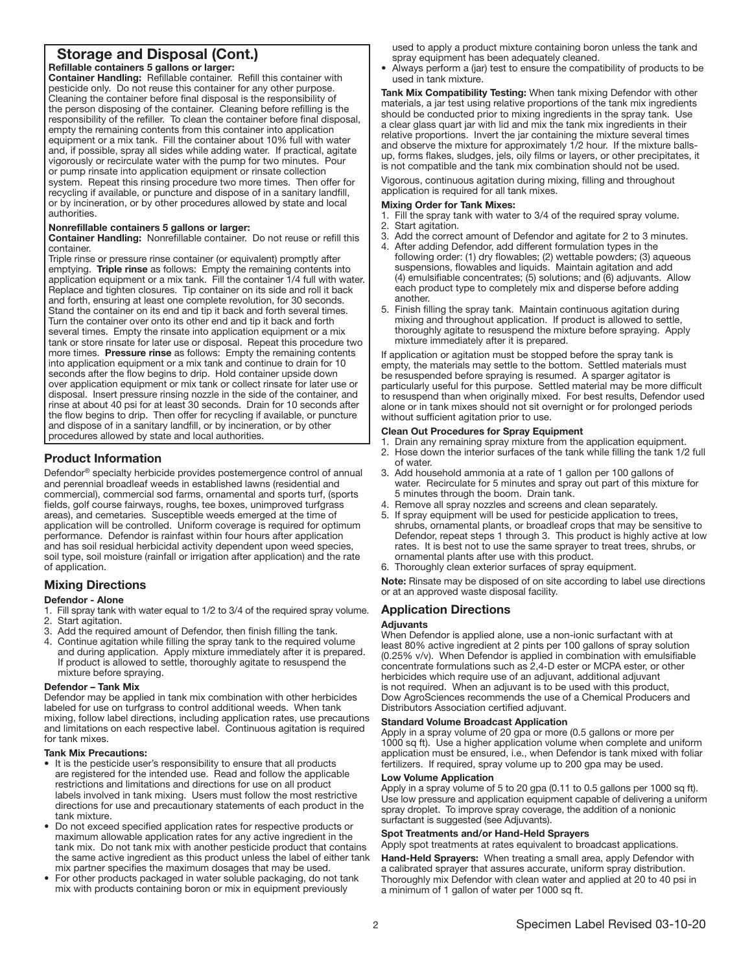### Storage and Disposal (Cont.)

Refillable containers 5 gallons or larger: Container Handling: Refillable container. Refill this container with pesticide only. Do not reuse this container for any other purpose. Cleaning the container before final disposal is the responsibility of the person disposing of the container. Cleaning before refilling is the responsibility of the refiller. To clean the container before final disposal, empty the remaining contents from this container into application equipment or a mix tank. Fill the container about 10% full with water and, if possible, spray all sides while adding water. If practical, agitate vigorously or recirculate water with the pump for two minutes. Pour or pump rinsate into application equipment or rinsate collection system. Repeat this rinsing procedure two more times. Then offer for recycling if available, or puncture and dispose of in a sanitary landfill, or by incineration, or by other procedures allowed by state and local authorities.

#### Nonrefillable containers 5 gallons or larger:

Container Handling: Nonrefillable container. Do not reuse or refill this container.

Triple rinse or pressure rinse container (or equivalent) promptly after emptying. Triple rinse as follows: Empty the remaining contents into application equipment or a mix tank. Fill the container 1/4 full with water. Replace and tighten closures. Tip container on its side and roll it back and forth, ensuring at least one complete revolution, for 30 seconds. Stand the container on its end and tip it back and forth several times. Turn the container over onto its other end and tip it back and forth several times. Empty the rinsate into application equipment or a mix tank or store rinsate for later use or disposal. Repeat this procedure two more times. Pressure rinse as follows: Empty the remaining contents into application equipment or a mix tank and continue to drain for 10 seconds after the flow begins to drip. Hold container upside down over application equipment or mix tank or collect rinsate for later use or disposal. Insert pressure rinsing nozzle in the side of the container, and rinse at about 40 psi for at least 30 seconds. Drain for 10 seconds after the flow begins to drip. Then offer for recycling if available, or puncture and dispose of in a sanitary landfill, or by incineration, or by other procedures allowed by state and local authorities.

#### Product Information

Defendor® specialty herbicide provides postemergence control of annual and perennial broadleaf weeds in established lawns (residential and commercial), commercial sod farms, ornamental and sports turf, (sports fields, golf course fairways, roughs, tee boxes, unimproved turfgrass areas), and cemetaries. Susceptible weeds emerged at the time of application will be controlled. Uniform coverage is required for optimum performance. Defendor is rainfast within four hours after application and has soil residual herbicidal activity dependent upon weed species, soil type, soil moisture (rainfall or irrigation after application) and the rate of application.

#### Mixing Directions

#### Defendor - Alone

- 1. Fill spray tank with water equal to 1/2 to 3/4 of the required spray volume. 2. Start agitation.
- 3. Add the required amount of Defendor, then finish filling the tank.
- 4. Continue agitation while filling the spray tank to the required volume and during application. Apply mixture immediately after it is prepared. If product is allowed to settle, thoroughly agitate to resuspend the mixture before spraying.

#### Defendor – Tank Mix

Defendor may be applied in tank mix combination with other herbicides labeled for use on turfgrass to control additional weeds. When tank mixing, follow label directions, including application rates, use precautions and limitations on each respective label. Continuous agitation is required for tank mixes.

#### Tank Mix Precautions:

- It is the pesticide user's responsibility to ensure that all products are registered for the intended use. Read and follow the applicable restrictions and limitations and directions for use on all product labels involved in tank mixing. Users must follow the most restrictive directions for use and precautionary statements of each product in the tank mixture.
- Do not exceed specified application rates for respective products or maximum allowable application rates for any active ingredient in the tank mix. Do not tank mix with another pesticide product that contains the same active ingredient as this product unless the label of either tank mix partner specifies the maximum dosages that may be used.
- For other products packaged in water soluble packaging, do not tank mix with products containing boron or mix in equipment previously

used to apply a product mixture containing boron unless the tank and spray equipment has been adequately cleaned.

• Always perform a (jar) test to ensure the compatibility of products to be used in tank mixture.

Tank Mix Compatibility Testing: When tank mixing Defendor with other materials, a jar test using relative proportions of the tank mix ingredients should be conducted prior to mixing ingredients in the spray tank. Use a clear glass quart jar with lid and mix the tank mix ingredients in their relative proportions. Invert the jar containing the mixture several times and observe the mixture for approximately 1/2 hour. If the mixture ballsup, forms flakes, sludges, jels, oily films or layers, or other precipitates, it is not compatible and the tank mix combination should not be used.

Vigorous, continuous agitation during mixing, filling and throughout application is required for all tank mixes.

#### Mixing Order for Tank Mixes:

- 1. Fill the spray tank with water to 3/4 of the required spray volume.
- 2. Start agitation.
- 3. Add the correct amount of Defendor and agitate for 2 to 3 minutes.<br>4. After adding Defendor, add different formulation types in the
- After adding Defendor, add different formulation types in the following order: (1) dry flowables; (2) wettable powders; (3) aqueous suspensions, flowables and liquids. Maintain agitation and add (4) emulsifiable concentrates; (5) solutions; and (6) adjuvants. Allow each product type to completely mix and disperse before adding another.
- 5. Finish filling the spray tank. Maintain continuous agitation during mixing and throughout application. If product is allowed to settle, thoroughly agitate to resuspend the mixture before spraying. Apply mixture immediately after it is prepared.

If application or agitation must be stopped before the spray tank is empty, the materials may settle to the bottom. Settled materials must be resuspended before spraying is resumed. A sparger agitator is particularly useful for this purpose. Settled material may be more difficult to resuspend than when originally mixed. For best results, Defendor used alone or in tank mixes should not sit overnight or for prolonged periods without sufficient agitation prior to use.

#### Clean Out Procedures for Spray Equipment

1. Drain any remaining spray mixture from the application equipment.

- 2. Hose down the interior surfaces of the tank while filling the tank 1/2 full of water.
- 3. Add household ammonia at a rate of 1 gallon per 100 gallons of water. Recirculate for 5 minutes and spray out part of this mixture for 5 minutes through the boom. Drain tank.
- 4. Remove all spray nozzles and screens and clean separately.
- 5. If spray equipment will be used for pesticide application to trees, shrubs, ornamental plants, or broadleaf crops that may be sensitive to Defendor, repeat steps 1 through 3. This product is highly active at low rates. It is best not to use the same sprayer to treat trees, shrubs, or ornamental plants after use with this product.

6. Thoroughly clean exterior surfaces of spray equipment.

Note: Rinsate may be disposed of on site according to label use directions or at an approved waste disposal facility.

#### Application Directions

#### Adjuvants

When Defendor is applied alone, use a non-ionic surfactant with at least 80% active ingredient at 2 pints per 100 gallons of spray solution (0.25% v/v). When Defendor is applied in combination with emulsifiable concentrate formulations such as 2,4-D ester or MCPA ester, or other herbicides which require use of an adjuvant, additional adjuvant is not required. When an adjuvant is to be used with this product, Dow AgroSciences recommends the use of a Chemical Producers and Distributors Association certified adjuvant.

#### Standard Volume Broadcast Application

Apply in a spray volume of 20 gpa or more (0.5 gallons or more per 1000 sq ft). Use a higher application volume when complete and uniform application must be ensured, i.e., when Defendor is tank mixed with foliar fertilizers. If required, spray volume up to 200 gpa may be used.

#### Low Volume Application

Apply in a spray volume of 5 to 20 gpa (0.11 to 0.5 gallons per 1000 sq ft). Use low pressure and application equipment capable of delivering a uniform spray droplet. To improve spray coverage, the addition of a nonionic surfactant is suggested (see Adjuvants).

#### Spot Treatments and/or Hand-Held Sprayers

Apply spot treatments at rates equivalent to broadcast applications.

Hand-Held Sprayers: When treating a small area, apply Defendor with a calibrated sprayer that assures accurate, uniform spray distribution. Thoroughly mix Defendor with clean water and applied at 20 to 40 psi in a minimum of 1 gallon of water per 1000 sq ft.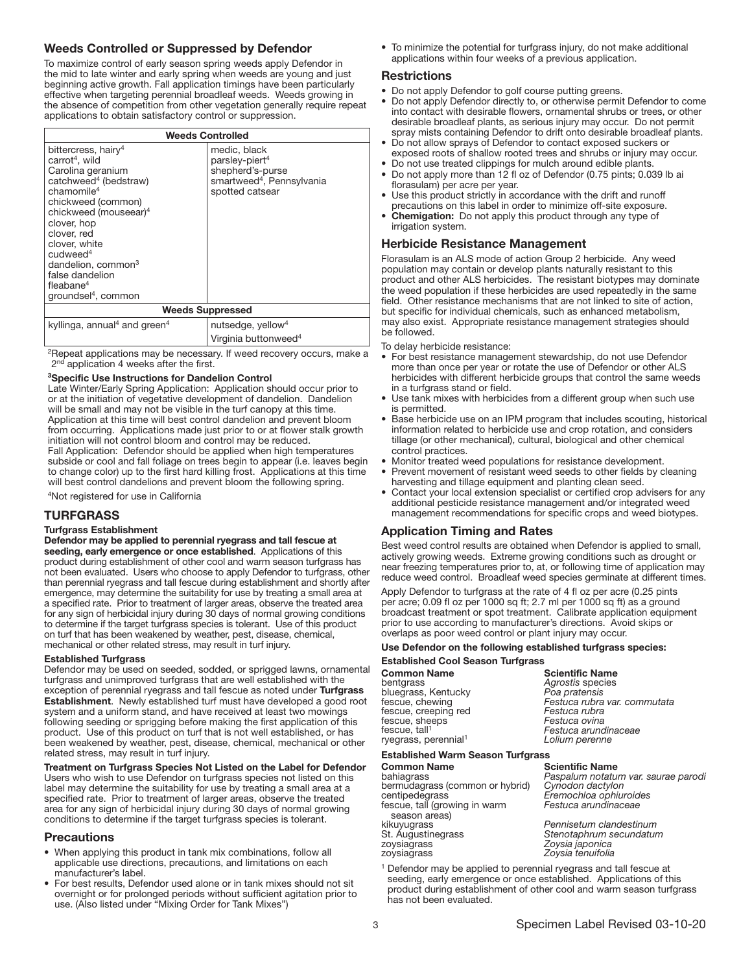#### Weeds Controlled or Suppressed by Defendor

To maximize control of early season spring weeds apply Defendor in the mid to late winter and early spring when weeds are young and just beginning active growth. Fall application timings have been particularly effective when targeting perennial broadleaf weeds. Weeds growing in the absence of competition from other vegetation generally require repeat applications to obtain satisfactory control or suppression.

| <b>Weeds Controlled</b>                                                                                                                                                                                                                                                                                                                                                                        |                                                                                                                            |  |
|------------------------------------------------------------------------------------------------------------------------------------------------------------------------------------------------------------------------------------------------------------------------------------------------------------------------------------------------------------------------------------------------|----------------------------------------------------------------------------------------------------------------------------|--|
| bittercress, hairy <sup>4</sup><br>carrot <sup>4</sup> , wild<br>Carolina geranium<br>catchweed <sup>4</sup> (bedstraw)<br>chamomile <sup>4</sup><br>chickweed (common)<br>chickweed (mouseear) <sup>4</sup><br>clover, hop<br>clover, red<br>clover, white<br>$c$ udweed <sup>4</sup><br>dandelion, common <sup>3</sup><br>false dandelion<br>fleabane $4$<br>groundsel <sup>4</sup> , common | medic, black<br>parsley-piert <sup>4</sup><br>shepherd's-purse<br>smartweed <sup>4</sup> , Pennsylvania<br>spotted catsear |  |
| <b>Weeds Suppressed</b>                                                                                                                                                                                                                                                                                                                                                                        |                                                                                                                            |  |
| kyllinga, annual <sup>4</sup> and green <sup>4</sup>                                                                                                                                                                                                                                                                                                                                           | nutsedge, yellow <sup>4</sup>                                                                                              |  |
|                                                                                                                                                                                                                                                                                                                                                                                                | Virginia buttonweed <sup>4</sup>                                                                                           |  |

2Repeat applications may be necessary. If weed recovery occurs, make a 2<sup>nd</sup> application 4 weeks after the first.

#### 3Specific Use Instructions for Dandelion Control

Late Winter/Early Spring Application: Application should occur prior to or at the initiation of vegetative development of dandelion. Dandelion will be small and may not be visible in the turf canopy at this time. Application at this time will best control dandelion and prevent bloom from occurring. Applications made just prior to or at flower stalk growth initiation will not control bloom and control may be reduced. Fall Application: Defendor should be applied when high temperatures subside or cool and fall foliage on trees begin to appear (i.e. leaves begin to change color) up to the first hard killing frost. Applications at this time will best control dandelions and prevent bloom the following spring.

4Not registered for use in California

#### **TURFGRASS**

#### Turfgrass Establishment

Defendor may be applied to perennial ryegrass and tall fescue at seeding, early emergence or once established. Applications of this product during establishment of other cool and warm season turfgrass has not been evaluated. Users who choose to apply Defendor to turfgrass, other than perennial ryegrass and tall fescue during establishment and shortly after emergence, may determine the suitability for use by treating a small area at a specified rate. Prior to treatment of larger areas, observe the treated area for any sign of herbicidal injury during 30 days of normal growing conditions to determine if the target turfgrass species is tolerant. Use of this product on turf that has been weakened by weather, pest, disease, chemical, mechanical or other related stress, may result in turf injury.

#### Established Turfgrass

Defendor may be used on seeded, sodded, or sprigged lawns, ornamental turfgrass and unimproved turfgrass that are well established with the exception of perennial ryegrass and tall fescue as noted under Turfgrass Establishment. Newly established turf must have developed a good root system and a uniform stand, and have received at least two mowings following seeding or sprigging before making the first application of this product. Use of this product on turf that is not well established, or has been weakened by weather, pest, disease, chemical, mechanical or other related stress, may result in turf injury.

#### Treatment on Turfgrass Species Not Listed on the Label for Defendor

Users who wish to use Defendor on turfgrass species not listed on this label may determine the suitability for use by treating a small area at a specified rate. Prior to treatment of larger areas, observe the treated area for any sign of herbicidal injury during 30 days of normal growing conditions to determine if the target turfgrass species is tolerant.

#### **Precautions** j

- When applying this product in tank mix combinations, follow all applicable use directions, precautions, and limitations on each manufacturer's label.
- For best results, Defendor used alone or in tank mixes should not sit overnight or for prolonged periods without sufficient agitation prior to use. (Also listed under "Mixing Order for Tank Mixes")

• To minimize the potential for turfgrass injury, do not make additional applications within four weeks of a previous application.

#### Restrictions

- Do not apply Defendor to golf course putting greens.
- Do not apply Defendor directly to, or otherwise permit Defendor to come into contact with desirable flowers, ornamental shrubs or trees, or other desirable broadleaf plants, as serious injury may occur. Do not permit spray mists containing Defendor to drift onto desirable broadleaf plants.
- Do not allow sprays of Defendor to contact exposed suckers or exposed roots of shallow rooted trees and shrubs or injury may occur.
- Do not use treated clippings for mulch around edible plants.
- Do not apply more than 12 fl oz of Defendor (0.75 pints; 0.039 lb ai florasulam) per acre per year.
- Use this product strictly in accordance with the drift and runoff precautions on this label in order to minimize off-site exposure.
- Chemigation: Do not apply this product through any type of irrigation system.

#### Herbicide Resistance Management

Florasulam is an ALS mode of action Group 2 herbicide. Any weed population may contain or develop plants naturally resistant to this product and other ALS herbicides. The resistant biotypes may dominate the weed population if these herbicides are used repeatedly in the same field. Other resistance mechanisms that are not linked to site of action, but specific for individual chemicals, such as enhanced metabolism, may also exist. Appropriate resistance management strategies should be followed.

To delay herbicide resistance:

- For best resistance management stewardship, do not use Defendor more than once per year or rotate the use of Defendor or other ALS herbicides with different herbicide groups that control the same weeds in a turfgrass stand or field.
- Use tank mixes with herbicides from a different group when such use is permitted.
- Base herbicide use on an IPM program that includes scouting, historical information related to herbicide use and crop rotation, and considers tillage (or other mechanical), cultural, biological and other chemical control practices.
- Monitor treated weed populations for resistance development.
- Prevent movement of resistant weed seeds to other fields by cleaning harvesting and tillage equipment and planting clean seed.
- Contact your local extension specialist or certified crop advisers for any additional pesticide resistance management and/or integrated weed management recommendations for specific crops and weed biotypes.

#### Application Timing and Rates

Best weed control results are obtained when Defendor is applied to small, actively growing weeds. Extreme growing conditions such as drought or near freezing temperatures prior to, at, or following time of application may reduce weed control. Broadleaf weed species germinate at different times.

Apply Defendor to turfgrass at the rate of 4 fl oz per acre (0.25 pints per acre; 0.09 fl oz per 1000 sq ft; 2.7 ml per 1000 sq ft) as a ground broadcast treatment or spot treatment. Calibrate application equipment prior to use according to manufacturer's directions. Avoid skips or overlaps as poor weed control or plant injury may occur.

#### Use Defendor on the following established turfgrass species:

| <b>Established Cool Season Turfgrass</b>                                                                                                         |                                                                                                                                                       |  |
|--------------------------------------------------------------------------------------------------------------------------------------------------|-------------------------------------------------------------------------------------------------------------------------------------------------------|--|
| <b>Common Name</b><br>bentgrass<br>bluegrass, Kentucky<br>fescue, chewing<br>fescue, creeping red<br>fescue, sheeps<br>fescue, tall <sup>1</sup> | <b>Scientific Name</b><br>Agrostis species<br>Poa pratensis<br>Festuca rubra var. commutata<br>Festuca rubra<br>Festuca ovina<br>Festuca arundinaceae |  |
| ryegrass, perennial <sup>1</sup>                                                                                                                 | Lolium perenne                                                                                                                                        |  |

#### Established Warm Season Turfgrass

Common Name Scientific Name bermudagrass (common or hybrid) centipedegrass *Eremochloa ophiuroides* fescue, tall (growing in warm season areas)<br>kikuyugrass<br>St. Augustinegrass St. Augustinegrass *Stenotaphrum secundatum* zoysiagrass *Zoysia japonica*

Paspalum notatum var. saurae parodi<br>Cynodon dactylon *Festuca arundinaceae*

kikuyugrass *Pennisetum clandestinum* Zoysia tenuifolia

<sup>1</sup> Defendor may be applied to perennial ryegrass and tall fescue at seeding, early emergence or once established. Applications of this product during establishment of other cool and warm season turfgrass has not been evaluated.